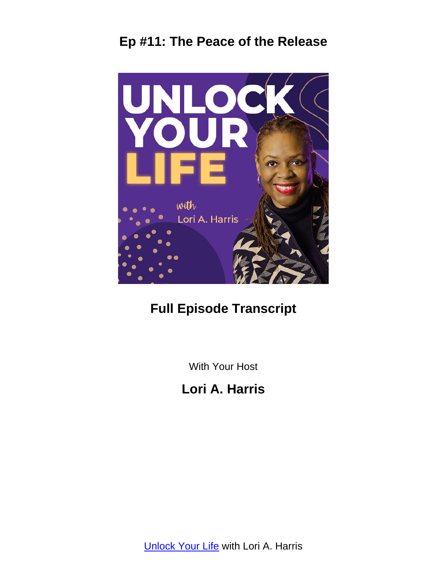

# **Full Episode Transcript**

With Your Host

# **Lori A. Harris**

**[Unlock Your Life](https://loriaharris.com/podcast) with Lori A. Harris**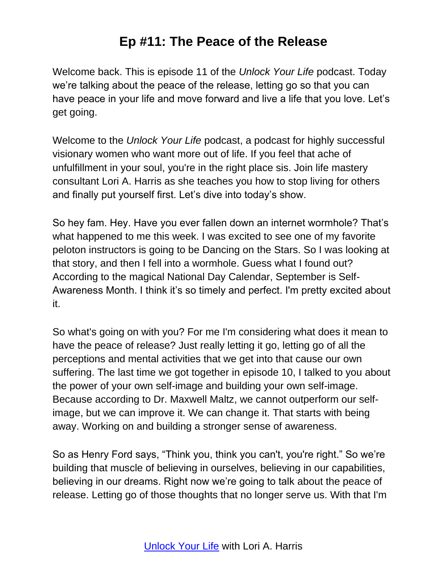Welcome back. This is episode 11 of the *Unlock Your Life* podcast. Today we're talking about the peace of the release, letting go so that you can have peace in your life and move forward and live a life that you love. Let's get going.

Welcome to the *Unlock Your Life* podcast, a podcast for highly successful visionary women who want more out of life. If you feel that ache of unfulfillment in your soul, you're in the right place sis. Join life mastery consultant Lori A. Harris as she teaches you how to stop living for others and finally put yourself first. Let's dive into today's show.

So hey fam. Hey. Have you ever fallen down an internet wormhole? That's what happened to me this week. I was excited to see one of my favorite peloton instructors is going to be Dancing on the Stars. So I was looking at that story, and then I fell into a wormhole. Guess what I found out? According to the magical National Day Calendar, September is Self-Awareness Month. I think it's so timely and perfect. I'm pretty excited about it.

So what's going on with you? For me I'm considering what does it mean to have the peace of release? Just really letting it go, letting go of all the perceptions and mental activities that we get into that cause our own suffering. The last time we got together in episode 10, I talked to you about the power of your own self-image and building your own self-image. Because according to Dr. Maxwell Maltz, we cannot outperform our selfimage, but we can improve it. We can change it. That starts with being away. Working on and building a stronger sense of awareness.

So as Henry Ford says, "Think you, think you can't, you're right." So we're building that muscle of believing in ourselves, believing in our capabilities, believing in our dreams. Right now we're going to talk about the peace of release. Letting go of those thoughts that no longer serve us. With that I'm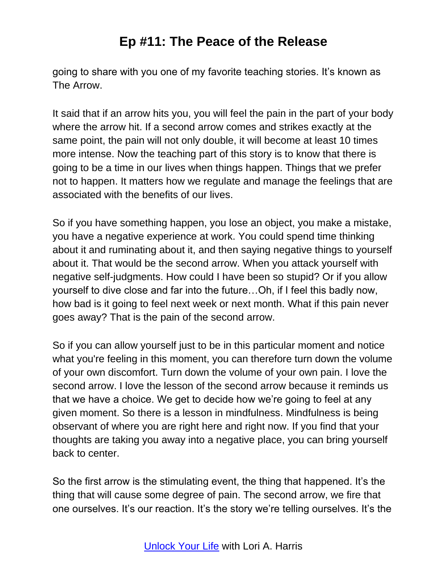going to share with you one of my favorite teaching stories. It's known as The Arrow.

It said that if an arrow hits you, you will feel the pain in the part of your body where the arrow hit. If a second arrow comes and strikes exactly at the same point, the pain will not only double, it will become at least 10 times more intense. Now the teaching part of this story is to know that there is going to be a time in our lives when things happen. Things that we prefer not to happen. It matters how we regulate and manage the feelings that are associated with the benefits of our lives.

So if you have something happen, you lose an object, you make a mistake, you have a negative experience at work. You could spend time thinking about it and ruminating about it, and then saying negative things to yourself about it. That would be the second arrow. When you attack yourself with negative self-judgments. How could I have been so stupid? Or if you allow yourself to dive close and far into the future…Oh, if I feel this badly now, how bad is it going to feel next week or next month. What if this pain never goes away? That is the pain of the second arrow.

So if you can allow yourself just to be in this particular moment and notice what you're feeling in this moment, you can therefore turn down the volume of your own discomfort. Turn down the volume of your own pain. I love the second arrow. I love the lesson of the second arrow because it reminds us that we have a choice. We get to decide how we're going to feel at any given moment. So there is a lesson in mindfulness. Mindfulness is being observant of where you are right here and right now. If you find that your thoughts are taking you away into a negative place, you can bring yourself back to center.

So the first arrow is the stimulating event, the thing that happened. It's the thing that will cause some degree of pain. The second arrow, we fire that one ourselves. It's our reaction. It's the story we're telling ourselves. It's the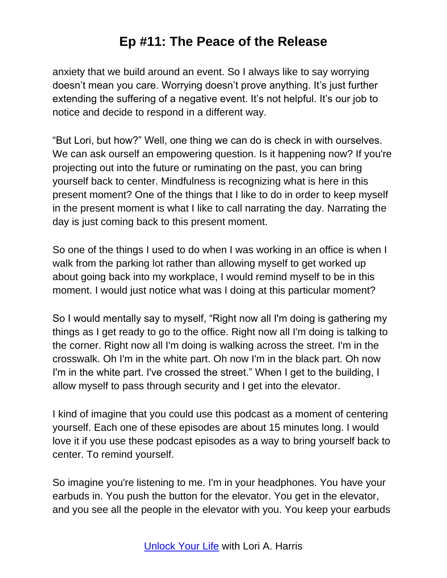anxiety that we build around an event. So I always like to say worrying doesn't mean you care. Worrying doesn't prove anything. It's just further extending the suffering of a negative event. It's not helpful. It's our job to notice and decide to respond in a different way.

"But Lori, but how?" Well, one thing we can do is check in with ourselves. We can ask ourself an empowering question. Is it happening now? If you're projecting out into the future or ruminating on the past, you can bring yourself back to center. Mindfulness is recognizing what is here in this present moment? One of the things that I like to do in order to keep myself in the present moment is what I like to call narrating the day. Narrating the day is just coming back to this present moment.

So one of the things I used to do when I was working in an office is when I walk from the parking lot rather than allowing myself to get worked up about going back into my workplace, I would remind myself to be in this moment. I would just notice what was I doing at this particular moment?

So I would mentally say to myself, "Right now all I'm doing is gathering my things as I get ready to go to the office. Right now all I'm doing is talking to the corner. Right now all I'm doing is walking across the street. I'm in the crosswalk. Oh I'm in the white part. Oh now I'm in the black part. Oh now I'm in the white part. I've crossed the street." When I get to the building, I allow myself to pass through security and I get into the elevator.

I kind of imagine that you could use this podcast as a moment of centering yourself. Each one of these episodes are about 15 minutes long. I would love it if you use these podcast episodes as a way to bring yourself back to center. To remind yourself.

So imagine you're listening to me. I'm in your headphones. You have your earbuds in. You push the button for the elevator. You get in the elevator, and you see all the people in the elevator with you. You keep your earbuds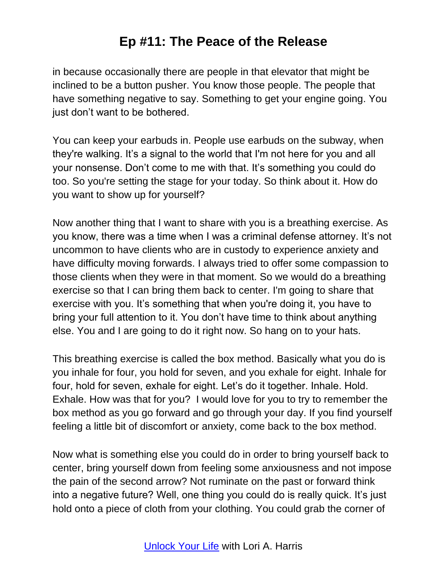in because occasionally there are people in that elevator that might be inclined to be a button pusher. You know those people. The people that have something negative to say. Something to get your engine going. You just don't want to be bothered.

You can keep your earbuds in. People use earbuds on the subway, when they're walking. It's a signal to the world that I'm not here for you and all your nonsense. Don't come to me with that. It's something you could do too. So you're setting the stage for your today. So think about it. How do you want to show up for yourself?

Now another thing that I want to share with you is a breathing exercise. As you know, there was a time when I was a criminal defense attorney. It's not uncommon to have clients who are in custody to experience anxiety and have difficulty moving forwards. I always tried to offer some compassion to those clients when they were in that moment. So we would do a breathing exercise so that I can bring them back to center. I'm going to share that exercise with you. It's something that when you're doing it, you have to bring your full attention to it. You don't have time to think about anything else. You and I are going to do it right now. So hang on to your hats.

This breathing exercise is called the box method. Basically what you do is you inhale for four, you hold for seven, and you exhale for eight. Inhale for four, hold for seven, exhale for eight. Let's do it together. Inhale. Hold. Exhale. How was that for you? I would love for you to try to remember the box method as you go forward and go through your day. If you find yourself feeling a little bit of discomfort or anxiety, come back to the box method.

Now what is something else you could do in order to bring yourself back to center, bring yourself down from feeling some anxiousness and not impose the pain of the second arrow? Not ruminate on the past or forward think into a negative future? Well, one thing you could do is really quick. It's just hold onto a piece of cloth from your clothing. You could grab the corner of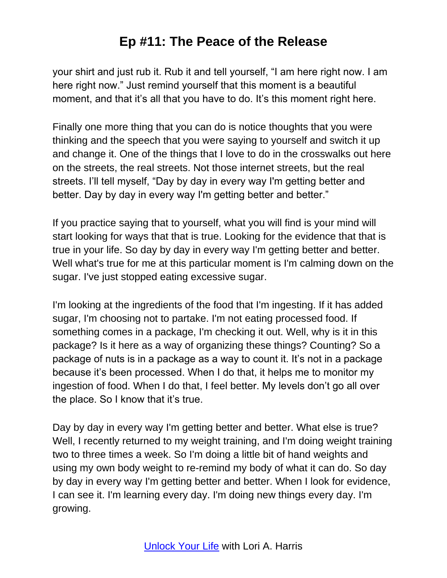your shirt and just rub it. Rub it and tell yourself, "I am here right now. I am here right now." Just remind yourself that this moment is a beautiful moment, and that it's all that you have to do. It's this moment right here.

Finally one more thing that you can do is notice thoughts that you were thinking and the speech that you were saying to yourself and switch it up and change it. One of the things that I love to do in the crosswalks out here on the streets, the real streets. Not those internet streets, but the real streets. I'll tell myself, "Day by day in every way I'm getting better and better. Day by day in every way I'm getting better and better."

If you practice saying that to yourself, what you will find is your mind will start looking for ways that that is true. Looking for the evidence that that is true in your life. So day by day in every way I'm getting better and better. Well what's true for me at this particular moment is I'm calming down on the sugar. I've just stopped eating excessive sugar.

I'm looking at the ingredients of the food that I'm ingesting. If it has added sugar, I'm choosing not to partake. I'm not eating processed food. If something comes in a package, I'm checking it out. Well, why is it in this package? Is it here as a way of organizing these things? Counting? So a package of nuts is in a package as a way to count it. It's not in a package because it's been processed. When I do that, it helps me to monitor my ingestion of food. When I do that, I feel better. My levels don't go all over the place. So I know that it's true.

Day by day in every way I'm getting better and better. What else is true? Well, I recently returned to my weight training, and I'm doing weight training two to three times a week. So I'm doing a little bit of hand weights and using my own body weight to re-remind my body of what it can do. So day by day in every way I'm getting better and better. When I look for evidence, I can see it. I'm learning every day. I'm doing new things every day. I'm growing.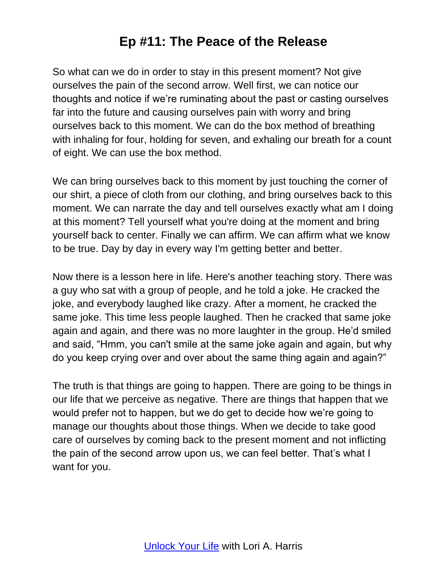So what can we do in order to stay in this present moment? Not give ourselves the pain of the second arrow. Well first, we can notice our thoughts and notice if we're ruminating about the past or casting ourselves far into the future and causing ourselves pain with worry and bring ourselves back to this moment. We can do the box method of breathing with inhaling for four, holding for seven, and exhaling our breath for a count of eight. We can use the box method.

We can bring ourselves back to this moment by just touching the corner of our shirt, a piece of cloth from our clothing, and bring ourselves back to this moment. We can narrate the day and tell ourselves exactly what am I doing at this moment? Tell yourself what you're doing at the moment and bring yourself back to center. Finally we can affirm. We can affirm what we know to be true. Day by day in every way I'm getting better and better.

Now there is a lesson here in life. Here's another teaching story. There was a guy who sat with a group of people, and he told a joke. He cracked the joke, and everybody laughed like crazy. After a moment, he cracked the same joke. This time less people laughed. Then he cracked that same joke again and again, and there was no more laughter in the group. He'd smiled and said, "Hmm, you can't smile at the same joke again and again, but why do you keep crying over and over about the same thing again and again?"

The truth is that things are going to happen. There are going to be things in our life that we perceive as negative. There are things that happen that we would prefer not to happen, but we do get to decide how we're going to manage our thoughts about those things. When we decide to take good care of ourselves by coming back to the present moment and not inflicting the pain of the second arrow upon us, we can feel better. That's what I want for you.